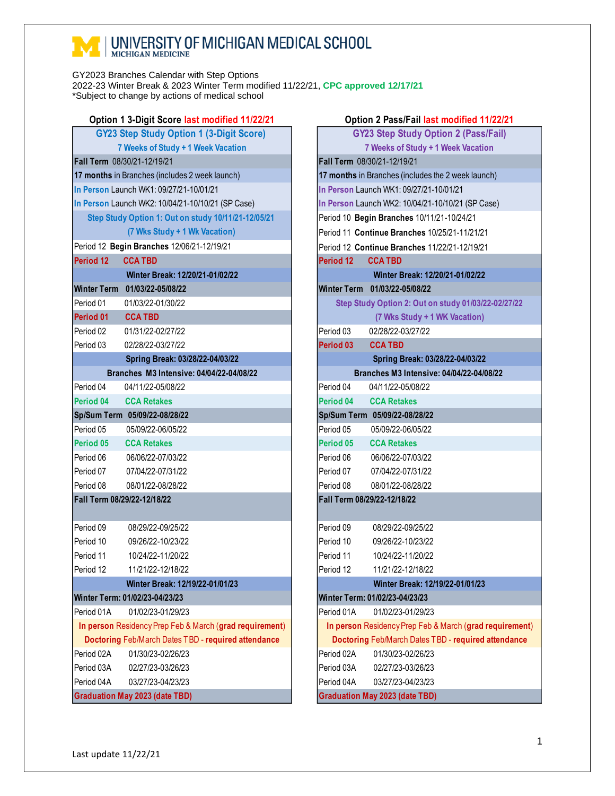## **MEDICAL SCHOOL**

GY2023 Branches Calendar with Step Options 2022-23 Winter Break & 2023 Winter Term modified 11/22/21, **CPC approved 12/17/21** \*Subject to change by actions of medical school

| Option 1 3-Digit Score last modified 11/22/21           |                                                     |  |                                             | Option 2 Pass/Fail last modified 11/22/21            |
|---------------------------------------------------------|-----------------------------------------------------|--|---------------------------------------------|------------------------------------------------------|
| <b>GY23 Step Study Option 1 (3-Digit Score)</b>         |                                                     |  | <b>GY23 Step Study Option 2 (Pass/Fail)</b> |                                                      |
| 7 Weeks of Study + 1 Week Vacation                      |                                                     |  |                                             | 7 Weeks of Study + 1 Week Vacation                   |
| Fall Term 08/30/21-12/19/21                             |                                                     |  |                                             | Fall Term 08/30/21-12/19/21                          |
|                                                         | 17 months in Branches (includes 2 week launch)      |  |                                             | 17 months in Branches (includes the 2 week launch)   |
|                                                         | In Person Launch WK1: 09/27/21-10/01/21             |  |                                             | In Person Launch WK1: 09/27/21-10/01/21              |
|                                                         | In Person Launch WK2: 10/04/21-10/10/21 (SP Case)   |  |                                             | In Person Launch WK2: 10/04/21-10/10/21 (SP Case)    |
|                                                         | Step Study Option 1: Out on study 10/11/21-12/05/21 |  |                                             | Period 10 Begin Branches 10/11/21-10/24/21           |
|                                                         | (7 Wks Study + 1 Wk Vacation)                       |  |                                             | Period 11 Continue Branches 10/25/21-11/21/21        |
|                                                         | Period 12 Begin Branches 12/06/21-12/19/21          |  |                                             | Period 12 Continue Branches 11/22/21-12/19/21        |
| Period 12                                               | <b>CCA TBD</b>                                      |  | Period 12                                   | <b>CCA TBD</b>                                       |
|                                                         | Winter Break: 12/20/21-01/02/22                     |  |                                             | Winter Break: 12/20/21-01/02/22                      |
|                                                         | Winter Term 01/03/22-05/08/22                       |  |                                             | Winter Term 01/03/22-05/08/22                        |
| Period 01                                               | 01/03/22-01/30/22                                   |  |                                             | Step Study Option 2: Out on study 01/03/22-02/27/22  |
| Period 01                                               | <b>CCA TBD</b>                                      |  |                                             | (7 Wks Study + 1 WK Vacation)                        |
| Period 02                                               | 01/31/22-02/27/22                                   |  | Period 03                                   | 02/28/22-03/27/22                                    |
| Period 03                                               | 02/28/22-03/27/22                                   |  | Period 03                                   | <b>CCA TBD</b>                                       |
|                                                         | Spring Break: 03/28/22-04/03/22                     |  |                                             | Spring Break: 03/28/22-04/03/22                      |
|                                                         | Branches M3 Intensive: 04/04/22-04/08/22            |  |                                             | Branches M3 Intensive: 04/04/22-04/08/22             |
| Period 04                                               | 04/11/22-05/08/22                                   |  | Period 04                                   | 04/11/22-05/08/22                                    |
| Period 04                                               | <b>CCA Retakes</b>                                  |  | Period 04                                   | <b>CCA Retakes</b>                                   |
|                                                         | Sp/Sum Term 05/09/22-08/28/22                       |  |                                             | Sp/Sum Term 05/09/22-08/28/22                        |
| Period 05                                               | 05/09/22-06/05/22                                   |  | Period 05                                   | 05/09/22-06/05/22                                    |
| Period 05                                               | <b>CCA Retakes</b>                                  |  | Period 05                                   | <b>CCA Retakes</b>                                   |
| Period 06                                               | 06/06/22-07/03/22                                   |  | Period 06                                   | 06/06/22-07/03/22                                    |
| Period 07                                               | 07/04/22-07/31/22                                   |  | Period 07                                   | 07/04/22-07/31/22                                    |
| Period 08                                               | 08/01/22-08/28/22                                   |  | Period 08                                   | 08/01/22-08/28/22                                    |
| Fall Term 08/29/22-12/18/22                             |                                                     |  |                                             | Fall Term 08/29/22-12/18/22                          |
|                                                         |                                                     |  |                                             |                                                      |
| Period 09                                               | 08/29/22-09/25/22                                   |  | Period 09                                   | 08/29/22-09/25/22                                    |
| Period 10                                               | 09/26/22-10/23/22                                   |  | Period 10                                   | 09/26/22-10/23/22                                    |
| Period 11                                               | 10/24/22-11/20/22                                   |  | Period 11                                   | 10/24/22-11/20/22                                    |
| Period 12                                               | 11/21/22-12/18/22                                   |  | Period 12                                   | 11/21/22-12/18/22                                    |
|                                                         | Winter Break: 12/19/22-01/01/23                     |  |                                             | Winter Break: 12/19/22-01/01/23                      |
|                                                         | Winter Term: 01/02/23-04/23/23                      |  |                                             | Winter Term: 01/02/23-04/23/23                       |
| Period 01A                                              | 01/02/23-01/29/23                                   |  | Period 01A                                  | 01/02/23-01/29/23                                    |
| In person Residency Prep Feb & March (grad requirement) |                                                     |  |                                             | In person Residency Prep Feb & March (grad requireme |
| Doctoring Feb/March Dates TBD - required attendance     |                                                     |  |                                             | Doctoring Feb/March Dates TBD - required attendanc   |
| Period 02A                                              | 01/30/23-02/26/23                                   |  | Period 02A                                  | 01/30/23-02/26/23                                    |
| Period 03A                                              | 02/27/23-03/26/23                                   |  | Period 03A                                  | 02/27/23-03/26/23                                    |
| Period 04A                                              | 03/27/23-04/23/23                                   |  | Period 04A                                  | 03/27/23-04/23/23                                    |
| <b>Graduation May 2023 (date TBD)</b>                   |                                                     |  |                                             | <b>Graduation May 2023 (date TBD)</b>                |

| Option 1 3-Digit Score last modified 11/22/21           |                                                     |            | Option 2 Pass/Fail last modified 11/22/21               |
|---------------------------------------------------------|-----------------------------------------------------|------------|---------------------------------------------------------|
| <b>GY23 Step Study Option 1 (3-Digit Score)</b>         |                                                     |            | <b>GY23 Step Study Option 2 (Pass/Fail)</b>             |
|                                                         | 7 Weeks of Study + 1 Week Vacation                  |            | 7 Weeks of Study + 1 Week Vacation                      |
| all Term 08/30/21-12/19/21                              |                                                     |            | Fall Term 08/30/21-12/19/21                             |
|                                                         | 7 months in Branches (includes 2 week launch)       |            | 17 months in Branches (includes the 2 week launch)      |
|                                                         | Person Launch WK1: 09/27/21-10/01/21                |            | In Person Launch WK1: 09/27/21-10/01/21                 |
|                                                         | Person Launch WK2: 10/04/21-10/10/21 (SP Case)      |            | In Person Launch WK2: 10/04/21-10/10/21 (SP Case)       |
|                                                         | Step Study Option 1: Out on study 10/11/21-12/05/21 |            | Period 10 Begin Branches 10/11/21-10/24/21              |
|                                                         | (7 Wks Study + 1 Wk Vacation)                       |            | Period 11 Continue Branches 10/25/21-11/21/21           |
|                                                         | eriod 12 Begin Branches 12/06/21-12/19/21           |            | Period 12 Continue Branches 11/22/21-12/19/21           |
| eriod 12                                                | <b>CCA TBD</b>                                      | Period 12  | <b>CCA TBD</b>                                          |
|                                                         | Winter Break: 12/20/21-01/02/22                     |            | Winter Break: 12/20/21-01/02/22                         |
|                                                         | linter Term 01/03/22-05/08/22                       |            | Winter Term 01/03/22-05/08/22                           |
| eriod 01                                                | 01/03/22-01/30/22                                   |            | Step Study Option 2: Out on study 01/03/22-02/27/22     |
| eriod 01                                                | <b>CCA TBD</b>                                      |            | (7 Wks Study + 1 WK Vacation)                           |
| eriod 02                                                | 01/31/22-02/27/22                                   | Period 03  | 02/28/22-03/27/22                                       |
| eriod 03                                                | 02/28/22-03/27/22                                   | Period 03  | <b>CCA TBD</b>                                          |
|                                                         | Spring Break: 03/28/22-04/03/22                     |            | Spring Break: 03/28/22-04/03/22                         |
|                                                         | Branches M3 Intensive: 04/04/22-04/08/22            |            | Branches M3 Intensive: 04/04/22-04/08/22                |
| eriod 04                                                | 04/11/22-05/08/22                                   | Period 04  | 04/11/22-05/08/22                                       |
| eriod 04                                                | <b>CCA Retakes</b>                                  | Period 04  | <b>CCA Retakes</b>                                      |
|                                                         | p/Sum Term 05/09/22-08/28/22                        |            | Sp/Sum Term 05/09/22-08/28/22                           |
| eriod 05                                                | 05/09/22-06/05/22                                   | Period 05  | 05/09/22-06/05/22                                       |
| eriod 05                                                | <b>CCA Retakes</b>                                  | Period 05  | <b>CCA Retakes</b>                                      |
| eriod 06                                                | 06/06/22-07/03/22                                   | Period 06  | 06/06/22-07/03/22                                       |
| eriod 07                                                | 07/04/22-07/31/22                                   | Period 07  | 07/04/22-07/31/22                                       |
| eriod 08                                                | 08/01/22-08/28/22                                   | Period 08  | 08/01/22-08/28/22                                       |
|                                                         | all Term 08/29/22-12/18/22                          |            | Fall Term 08/29/22-12/18/22                             |
| eriod 09                                                | 08/29/22-09/25/22                                   | Period 09  | 08/29/22-09/25/22                                       |
| eriod 10                                                | 09/26/22-10/23/22                                   | Period 10  | 09/26/22-10/23/22                                       |
| eriod 11                                                | 10/24/22-11/20/22                                   | Period 11  | 10/24/22-11/20/22                                       |
| eriod 12                                                | 11/21/22-12/18/22                                   | Period 12  | 11/21/22-12/18/22                                       |
|                                                         | Winter Break: 12/19/22-01/01/23                     |            | Winter Break: 12/19/22-01/01/23                         |
|                                                         | linter Term: 01/02/23-04/23/23                      |            | Winter Term: 01/02/23-04/23/23                          |
| eriod 01A                                               | 01/02/23-01/29/23                                   | Period 01A | 01/02/23-01/29/23                                       |
| In person Residency Prep Feb & March (grad requirement) |                                                     |            | In person Residency Prep Feb & March (grad requirement) |
|                                                         | Doctoring Feb/March Dates TBD - required attendance |            | Doctoring Feb/March Dates TBD - required attendance     |
| eriod 02A                                               | 01/30/23-02/26/23                                   | Period 02A | 01/30/23-02/26/23                                       |
| eriod 03A                                               | 02/27/23-03/26/23                                   | Period 03A | 02/27/23-03/26/23                                       |
| eriod 04A                                               | 03/27/23-04/23/23                                   | Period 04A | 03/27/23-04/23/23                                       |
|                                                         | raduation May 2023 (date TBD)                       |            | <b>Graduation May 2023 (date TBD)</b>                   |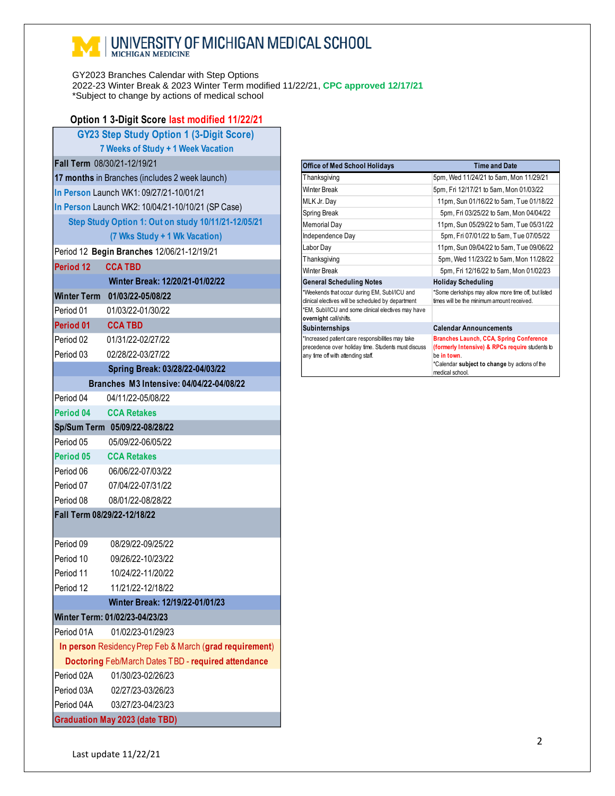## **NEXT | UNIVERSITY OF MICHIGAN MEDICAL SCHOOL**

GY2023 Branches Calendar with Step Options 2022-23 Winter Break & 2023 Winter Term modified 11/22/21, **CPC approved 12/17/21** \*Subject to change by actions of medical school

| Option 1 3-Digit Score last modified 11/22/21           |                                                     |  |  |  |  |
|---------------------------------------------------------|-----------------------------------------------------|--|--|--|--|
| <b>GY23 Step Study Option 1 (3-Digit Score)</b>         |                                                     |  |  |  |  |
| 7 Weeks of Study + 1 Week Vacation                      |                                                     |  |  |  |  |
| Fall Term 08/30/21-12/19/21                             |                                                     |  |  |  |  |
|                                                         | 17 months in Branches (includes 2 week launch)      |  |  |  |  |
|                                                         | In Person Launch WK1: 09/27/21-10/01/21             |  |  |  |  |
|                                                         | In Person Launch WK2: 10/04/21-10/10/21 (SP Case)   |  |  |  |  |
| Step Study Option 1: Out on study 10/11/21-12/05/21     |                                                     |  |  |  |  |
| (7 Wks Study + 1 Wk Vacation)                           |                                                     |  |  |  |  |
|                                                         | Period 12 Begin Branches 12/06/21-12/19/21          |  |  |  |  |
| Period 12                                               | <b>CCA TBD</b>                                      |  |  |  |  |
|                                                         | Winter Break: 12/20/21-01/02/22                     |  |  |  |  |
|                                                         | Winter Term 01/03/22-05/08/22                       |  |  |  |  |
| Period 01                                               | 01/03/22-01/30/22                                   |  |  |  |  |
| Period 01                                               | <b>CCA TBD</b>                                      |  |  |  |  |
| Period 02                                               | 01/31/22-02/27/22                                   |  |  |  |  |
| Period 03                                               | 02/28/22-03/27/22                                   |  |  |  |  |
|                                                         | Spring Break: 03/28/22-04/03/22                     |  |  |  |  |
|                                                         | Branches M3 Intensive: 04/04/22-04/08/22            |  |  |  |  |
| Period 04                                               | 04/11/22-05/08/22                                   |  |  |  |  |
| Period 04                                               | <b>CCA Retakes</b>                                  |  |  |  |  |
|                                                         | Sp/Sum Term 05/09/22-08/28/22                       |  |  |  |  |
| Period 05                                               | 05/09/22-06/05/22                                   |  |  |  |  |
| Period 05                                               | <b>CCA Retakes</b>                                  |  |  |  |  |
| Period 06                                               | 06/06/22-07/03/22                                   |  |  |  |  |
| Period 07                                               | 07/04/22-07/31/22                                   |  |  |  |  |
| Period 08                                               | 08/01/22-08/28/22                                   |  |  |  |  |
| Fall Term 08/29/22-12/18/22                             |                                                     |  |  |  |  |
|                                                         |                                                     |  |  |  |  |
| Period 09                                               | 08/29/22-09/25/22                                   |  |  |  |  |
| Period 10                                               | 09/26/22-10/23/22                                   |  |  |  |  |
| Period 11                                               | 10/24/22-11/20/22                                   |  |  |  |  |
| Period 12                                               | 11/21/22-12/18/22                                   |  |  |  |  |
| Winter Break: 12/19/22-01/01/23                         |                                                     |  |  |  |  |
|                                                         | Winter Term: 01/02/23-04/23/23                      |  |  |  |  |
| Period 01A                                              | 01/02/23-01/29/23                                   |  |  |  |  |
| In person Residency Prep Feb & March (grad requirement) |                                                     |  |  |  |  |
|                                                         | Doctoring Feb/March Dates TBD - required attendance |  |  |  |  |
| Period 02A                                              | 01/30/23-02/26/23                                   |  |  |  |  |
|                                                         | Period 03A 02/27/23-03/26/23                        |  |  |  |  |
| Period 04A                                              | 03/27/23-04/23/23                                   |  |  |  |  |
| <b>Graduation May 2023 (date TBD)</b>                   |                                                     |  |  |  |  |

| <b>Office of Med School Holidays</b>                                                                                                           | <b>Time and Date</b>                                                                                                                                             |  |  |
|------------------------------------------------------------------------------------------------------------------------------------------------|------------------------------------------------------------------------------------------------------------------------------------------------------------------|--|--|
| Thanksgiving                                                                                                                                   | 5pm, Wed 11/24/21 to 5am, Mon 11/29/21                                                                                                                           |  |  |
| Winter Break                                                                                                                                   | 5pm, Fri 12/17/21 to 5am, Mon 01/03/22                                                                                                                           |  |  |
| MLK Jr. Day                                                                                                                                    | 11pm, Sun 01/16/22 to 5am, Tue 01/18/22                                                                                                                          |  |  |
| Spring Break                                                                                                                                   | 5pm, Fri 03/25/22 to 5am, Mon 04/04/22                                                                                                                           |  |  |
| Memorial Day                                                                                                                                   | 11pm, Sun 05/29/22 to 5am, Tue 05/31/22                                                                                                                          |  |  |
| Independence Day                                                                                                                               | 5pm, Fri 07/01/22 to 5am, Tue 07/05/22                                                                                                                           |  |  |
| Labor Day                                                                                                                                      | 11pm, Sun 09/04/22 to 5am, Tue 09/06/22                                                                                                                          |  |  |
| Thanksgiving                                                                                                                                   | 5pm, Wed 11/23/22 to 5am, Mon 11/28/22                                                                                                                           |  |  |
| Winter Break                                                                                                                                   | 5pm, Fri 12/16/22 to 5am, Mon 01/02/23                                                                                                                           |  |  |
| <b>General Scheduling Notes</b>                                                                                                                | <b>Holiday Scheduling</b>                                                                                                                                        |  |  |
| *Weekends that occur during EM, Subl/ICU and<br>clinical electives will be scheduled by department                                             | *Some clerkships may allow more time off, but listed<br>times will be the minimum amount received.                                                               |  |  |
| *EM, Subl/ICU and some clinical electives may have<br>overnight call/shifts.                                                                   |                                                                                                                                                                  |  |  |
| Subinternships                                                                                                                                 | <b>Calendar Announcements</b>                                                                                                                                    |  |  |
| *Increased patient care responsibilities may take<br>precedence over holiday time. Students must discuss<br>any time off with attending staff. | <b>Branches Launch, CCA, Spring Conference</b><br>(formerly Intensive) & RPCs require students to<br>he in town<br>*Calendar subject to change by actions of the |  |  |

medical school.